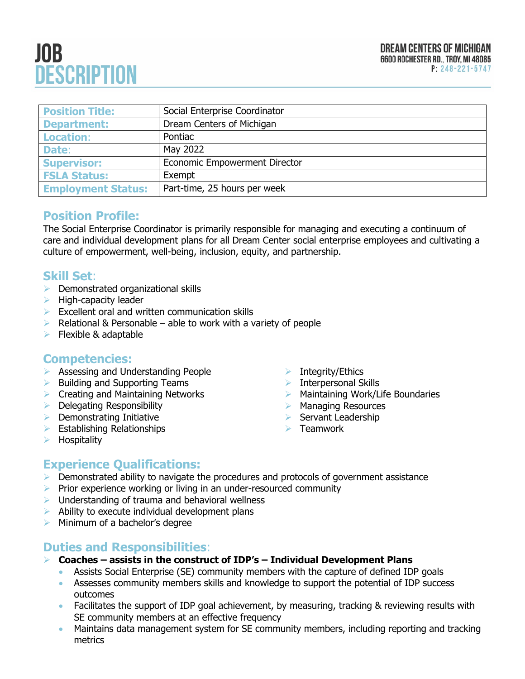# **JOB DESCRIPTION**

| <b>Position Title:</b>    | Social Enterprise Coordinator        |
|---------------------------|--------------------------------------|
| <b>Department:</b>        | Dream Centers of Michigan            |
| <b>Location:</b>          | Pontiac                              |
| Date:                     | May 2022                             |
| <b>Supervisor:</b>        | <b>Economic Empowerment Director</b> |
| <b>FSLA Status:</b>       | Exempt                               |
| <b>Employment Status:</b> | Part-time, 25 hours per week         |

### **Position Profile:**

The Social Enterprise Coordinator is primarily responsible for managing and executing a continuum of care and individual development plans for all Dream Center social enterprise employees and cultivating a culture of empowerment, well-being, inclusion, equity, and partnership.

### **Skill Set**:

- ➢ Demonstrated organizational skills
- $\blacktriangleright$  High-capacity leader
- ➢ Excellent oral and written communication skills
- $\triangleright$  Relational & Personable able to work with a variety of people
- $\blacktriangleright$  Flexible & adaptable

#### **Competencies:**

- ➢ Assessing and Understanding People
- ➢ Building and Supporting Teams
- ➢ Creating and Maintaining Networks
- ➢ Delegating Responsibility
- $\triangleright$  Demonstrating Initiative
- ➢ Establishing Relationships
- ➢ Hospitality
- ➢ Integrity/Ethics
- ➢ Interpersonal Skills
- ➢ Maintaining Work/Life Boundaries
- ➢ Managing Resources
- ➢ Servant Leadership
- ➢ Teamwork

## **Experience Qualifications:**

- ➢ Demonstrated ability to navigate the procedures and protocols of government assistance
- ➢ Prior experience working or living in an under-resourced community
- $\triangleright$  Understanding of trauma and behavioral wellness
- $\triangleright$  Ability to execute individual development plans
- ➢ Minimum of a bachelor's degree

## **Duties and Responsibilities**:

- ➢ **Coaches – assists in the construct of IDP's – Individual Development Plans**
	- Assists Social Enterprise (SE) community members with the capture of defined IDP goals
	- Assesses community members skills and knowledge to support the potential of IDP success outcomes
	- Facilitates the support of IDP goal achievement, by measuring, tracking & reviewing results with SE community members at an effective frequency
	- Maintains data management system for SE community members, including reporting and tracking metrics